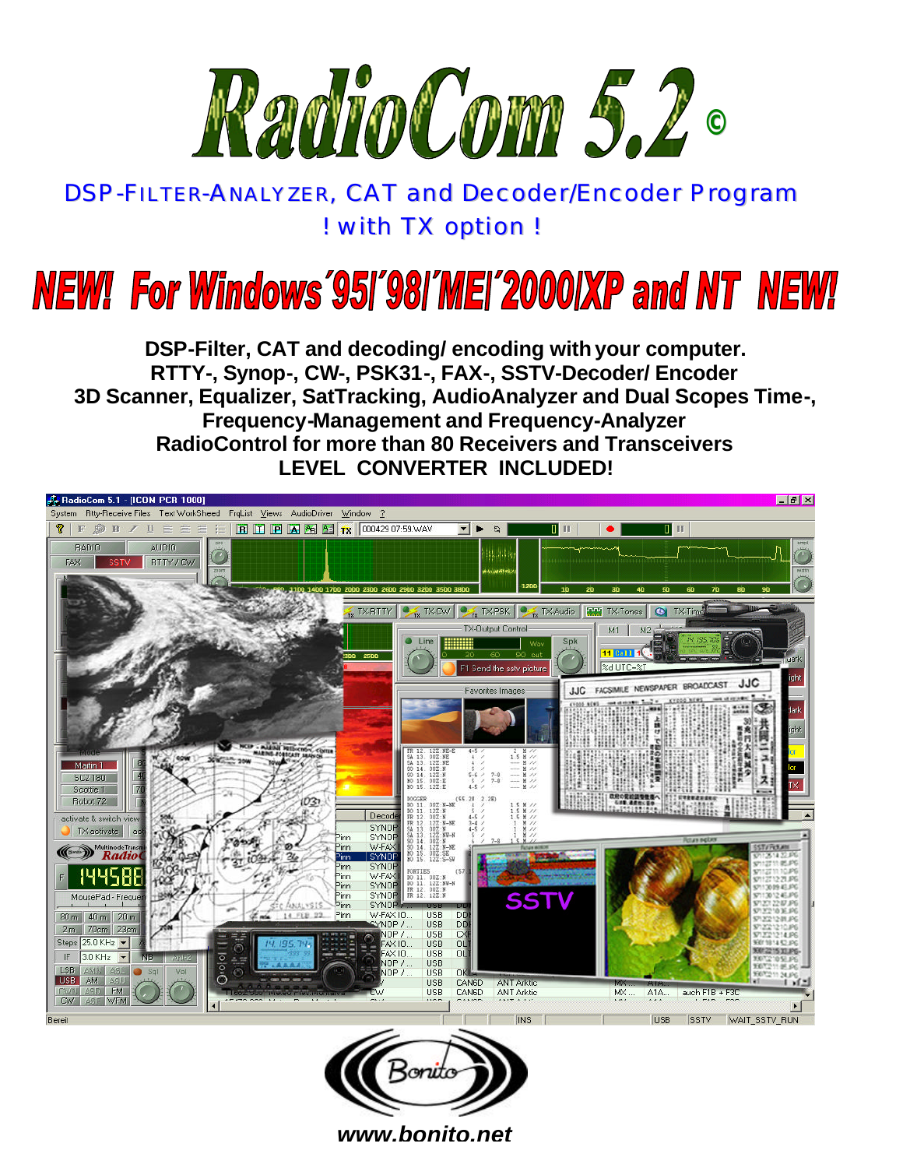

## DSP-FILTER-ANALYZER, CAT and Decoder/Encoder Program *! with TX option !*

# **NEW! For Windows '95I'98I'MEI'2000IXP and NT NEW!**

**DSP-Filter, CAT and decoding/ encoding with your computer. RTTY-, Synop-, CW-, PSK31-, FAX-, SSTV-Decoder/ Encoder 3D Scanner, Equalizer, SatTracking, AudioAnalyzer and Dual Scopes Time-, Frequency-Management and Frequency-Analyzer RadioControl for more than 80 Receivers and Transceivers LEVEL CONVERTER INCLUDED!**





*www.bonito.net*